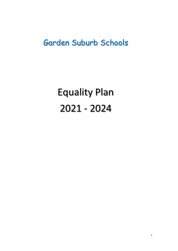# Garden Suburb Schools

Equality Plan 2021 - 2024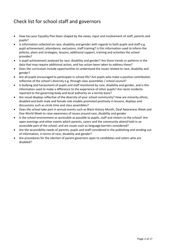## Check list for school staff and governors

- How has your Equality Plan been shaped by the views, input and involvement of staff, parents and pupils?
- Is information collected on race, disability and gender with regards to both pupils and staff e.g. pupil achievement, attendance, exclusions, staff training? Is this information used to inform the policies, plans and strategies, lessons, additional support, training and activities the school provides?
- Is pupil achievement analysed by race, disability and gender? Are there trends or patterns in the data that may require additional action, and has action been taken to address these?
- Does the curriculum include opportunities to understand the issues related to race, disability and gender?
- Are all pupils encouraged to participate in school life? Are pupils who make a positive contribution reflective of the school's diversity e.g. through class assemblies / school council?
- Is bullying and harassment of pupils and staff monitored by race, disability and gender, and is this information used to make a difference to the experience of other pupils? Are racist incidents reported to the governing body and local authority on a termly basis?
- Are visual displays reflective of the diversity of your school community? How are minority ethnic, disabled and both male and female role models promoted positively in lessons, displays and discussions such as circle time and class assemblies?
- Does the school take part in annual events such as Black History Month, Deaf Awareness Week and One World Week to raise awareness of issues around race, disability and gender
- Is the school environment as accessible as possible to pupils, staff and visitors to the school? Are open evenings and other events which parents, carers and the community attend held in an accessible part of the school, and are issues such as language barriers considered?
- Are the accessibility needs of parents, pupils and staff considered in the publishing and sending out of information, in terms of race, disability and gender?
- Are procedures for the election of parent governors open to candidates and voters who are disabled?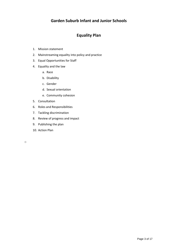## **Garden Suburb Infant and Junior Schools**

## **Equality Plan**

- 1. Mission statement
- 2. Mainstreaming equality into policy and practice
- 3. Equal Opportunities for Staff
- 4. Equality and the law
	- a. Race
	- b. Disability
	- c. Gender
	- d. Sexual orientation
	- e. Community cohesion
- 5. Consultation
- 6. Roles and Responsibilities
- 7. Tackling discrimination
- 8. Review of progress and impact
- 9. Publishing the plan
- 10. Action Plan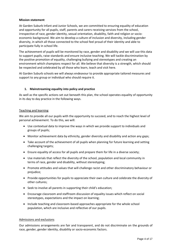#### **Mission statement**

At Garden Suburb Infant and Junior Schools, we are committed to ensuring equality of education and opportunity for all pupils, staff, parents and carers receiving services from the school, irrespective of race, gender identity, sexual orientation, disability, faith and religion or socioeconomic background. We aim to develop a culture of inclusion and diversity, including gender diversity, in which all those connected to the school feel proud of their identity and able to participate fully in school life.

The achievement of pupils will be monitored by race, gender and disability and we will use this data to support pupils, raise standards and ensure inclusive teaching. We will tackle discrimination by the positive promotion of equality, challenging bullying and stereotypes and creating an environment which champions respect for all. We believe that diversity is a strength, which should be respected and celebrated by all those who learn, teach and visit here.

At Garden Suburb schools we will always endeavour to provide appropriate tailored measures and support to any group or individual who should require it.

#### **1. Mainstreaming equality into policy and practice**

As well as the specific actions set out beneath this plan, the school operates equality of opportunity in its day to day practice in the following ways.

#### Teaching and learning

We aim to provide all our pupils with the opportunity to succeed, and to reach the highest level of personal achievement. To do this, we will:

- Use contextual data to improve the ways in which we provide support to individuals and groups of pupils;
- Monitor achievement data by ethnicity, gender diversity and disability and action any gaps;
- Take account of the achievement of all pupils when planning for future learning and setting challenging targets;
- Ensure equality of access for all pupils and prepare them for life in a diverse society;
- Use materials that reflect the diversity of the school, population and local community in terms of race, gender and disability, without stereotyping;
- Promote attitudes and values that will challenge racist and other discriminatory behaviour or prejudice;
- Provide opportunities for pupils to appreciate their own culture and celebrate the diversity of other cultures;
- Seek to involve all parents in supporting their child's education;
- Encourage classroom and staffroom discussion of equality issues which reflect on social stereotypes, expectations and the impact on learning;
- Include teaching and classroom-based approaches appropriate for the whole school population, which are inclusive and reflective of our pupils.

#### Admissions and exclusions

Our admissions arrangements are fair and transparent, and do not discriminate on the grounds of race, gender, gender identity, disability or socio-economic factors.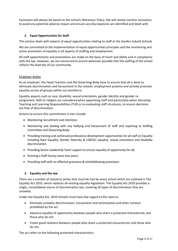Exclusions will always be based on the school's Behaviour Policy. We will closely monitor exclusions to avoid any potential adverse impact and ensure any discrepancies are identified and dealt with.

#### **2. Equal Opportunities for Staff**

This section deals with aspects of equal opportunities relating to staff at the Garden Suburb Schools

We are committed to the implementation of equal opportunities principles and the monitoring and active promotion of equality in all aspects of staffing and employment.

All staff appointments and promotions are made on the basis of merit and ability and in compliance with the law. However, we are concerned to ensure wherever possible that the staffing of the school reflects the diversity of our community.

#### Employer duties

As an employer, the Head Teachers and the Governing Body have to ensure that all is done to eliminate discrimination and harassment in the schools' employment practice and actively promote equality across all groups within our workforce.

Equality aspects such as race, disability, sexual orientation, gender identity and gender reassignment, faith or religion are considered when appointing staff and particularly when allocating Teaching and Learning Responsibilities (TLR) or re-evaluating staff structures, to ensure decisions are free of discrimination.

Actions to ensure this commitment is met include:

- Monitoring recruitment and retention;
- Monitoring and dealing with any bullying and harassment of staff and reporting to Staffing Committee and Governing Body;
- Providing training and continued professional development opportunities for all staff on Equality including Race Equality, Gender Diversity & LGBTQ+ equality, sexual orientation and Disability discrimination;
- Providing Senior Leadership Team support to ensure equality of opportunity for all;
- Running a Staff Survey every two years;
- Providing staff with an effective grievance & whistleblowing procedure.

#### **3. Equality and the law**

There are a number of statutory duties that must be met by every school which are outlined in The Equality Act 2010, which replaces all existing equality legislation. The Equality Act 2010 provides a single, consolidated source of discrimination law, covering all types of discrimination that are unlawful.

Under the Equality Act, 2010 Schools must have due regard to the need to:

- Eliminate unlawful discrimination, harassment and victimisation and other conduct prohibited by the act.
- Advance equality of opportunity between people who share a protected characteristic and those who do not.
- Foster good relations between people who share a protected characteristic and those who do not.

The act refers to the following protected characteristics: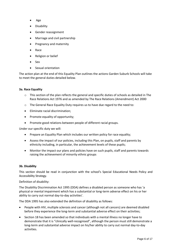- Age
- Disability
- Gender reassignment
- Marriage and civil partnership
- Pregnancy and maternity
- Race
- Religion or belief
- Sex
- Sexual orientation

The action plan at the end of this Equality Plan outlines the actions Garden Suburb Schools will take to meet the general duties detailed below.

#### **3a. Race Equality**

- o This section of the plan reflects the general and specific duties of schools as detailed in The Race Relations Act 1976 and as amended by The Race Relations (Amendment) Act 2000
- o The General Race Equality Duty requires us to have due regard to the need to:
- Eliminate racial discrimination;
- Promote equality of opportunity;
- Promote good relations between people of different racial groups.

Under our specific duty we will:

- Prepare an Equality Plan which includes our written policy for race equality;
- Assess the impact of our policies, including this Plan, on pupils, staff and parents by ethnicity including, in particular, the achievement levels of these pupils;
- Monitor the impact our plans and policies have on such pupils, staff and parents towards raising the achievement of minority ethnic groups

#### **3b. Disability**

This section should be read in conjunction with the school's Special Educational Needs Policy and Accessibility Strategy.

#### Definition of disability:

The Disability Discrimination Act 1995 (DDA) defines a disabled person as someone who has 'a physical or mental impairment which has a substantial or long-term adverse effect on his or her ability to carry out normal day-to-day activities'.

The DDA 1995 has also extended the definition of disability as follows:

- People with HIV, multiple sclerosis and cancer (although not all cancers) are deemed disabled before they experience the long-term and substantial adverse effect on their activities;
- Section 18 has been amended so that individuals with a mental illness no longer have to demonstrate that it is "clinically well-recognised", although the person must still demonstrate a long-term and substantial adverse impact on his/her ability to carry out normal day-to-day activities.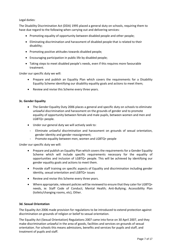Legal duties:

The Disability Discrimination Act (DDA) 1995 placed a general duty on schools, requiring them to have due regard to the following when carrying out and delivering services:

- Promoting equality of opportunity between disabled people and other people;
- Eliminating discrimination and harassment of disabled people that is related to their disability;
- Promoting positive attitudes towards disabled people;
- Encouraging participation in public life by disabled people;
- Taking steps to meet disabled people's needs, even if this requires more favourable treatment.

Under our specific duty we will:

- Prepare and publish an Equality Plan which covers the requirements for a Disability Equality Scheme identifying our disability equality goals and actions to meet them;
- Review and revise this Scheme every three years.

#### **3c. Gender Equality**

- The Gender Equality Duty 2006 places a general and specific duty on schools to eliminate unlawful discrimination and harassment on the grounds of gender and to promote equality of opportunity between female and male pupils, between women and men and LGBTQ+ people.
- Under our general duty we will actively seek to:
	- Eliminate unlawful discrimination and harassment on grounds of sexual orientation, gender identity and gender reassignment;
	- Promote equality between men, women and LGBTQ+ people

Under our specific duty we will:

- Prepare and publish an Equality Plan which covers the requirements for a Gender Equality Scheme which will include specific requirements necessary for the equality of opportunities and inclusion of LGBTQ+ people. This will be achieved by identifying our gender equality goals and actions to meet them.
- Provide staff training on specific aspects of Equality and discrimination including gender identity, sexual orientation and LGBTQ+ issues
- Review and revise this Scheme every three years.
- Where appropriate, relevant policies will be reviewed to ensure that they cater for LGBTQ+ needs, ie: Staff Code of Conduct; Mental Health; Anti-Bullying; Accessibility Plan (toilets/changing rooms, etc), Other.

#### **3d. Sexual Orientation**

The Equality Act 2006 made provision for regulations to be introduced to extend protection against discrimination on grounds of religion or belief to sexual orientation.

The Equality Act (Sexual Orientation) Regulations 2007 came into force on 30 April 2007, and they make discrimination unlawful in the area of goods, facilities and services on grounds of sexual orientation. For schools this means admissions, benefits and services for pupils and staff, and treatment of pupils and staff.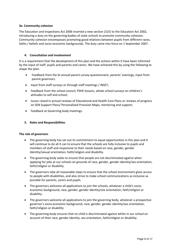#### **3e. Community cohesion**

The Education and Inspections Act 2006 inserted a new section 21(5) to the Education Act 2002, introducing a duty on the governing bodies of state schools to promote community cohesion. Community cohesion encompasses promoting good relations between pupils from different races, faiths / beliefs and socio-economic backgrounds. The duty came into force on 1 September 2007.

#### **4. Consultation and involvement**

It is a requirement that the development of this plan and the actions within it have been informed by the input of staff, pupils and parents and carers. We have achieved this by using the following to shape the plan:

- Feedback from the bi-annual parent survey questionnaire, parents' evenings, input from parent governors.
- Input from staff surveys or through staff meetings / INSET;
- Feedback from the school council, PSHE lessons, whole school surveys on children's attitudes to self and school;
- Issues raised in annual reviews of Educational and Health Care Plans or reviews of progress on SEN Support Plans/ Personalised Provision Maps, mentoring and support;
- Feedback at Governing body meetings.

#### **5. Roles and Responsibilities**

#### **The role of governors**

- The governing body has set out its commitment to equal opportunities in this plan and it will continue to do all it can to ensure that the schools are fully inclusive to pupils and members of staff and responsive to their needs based on race, gender, gender Identity/sexual orientation, faith/religion and disability.
- The governing body seeks to ensure that people are not discriminated against when applying for jobs at our schools on grounds of race, gender, gender identity/sex orientation, faith/religion or disability.
- The governors take all reasonable steps to ensure that the school environment gives access to people with disabilities, and also strive to make school communications as inclusive as possible for parents, carers and pupils.
- The governors welcome all applications to join the schools, whatever a child's socioeconomic background, race, gender, gender identity/sex orientation, faith/religion or disability.
- The governors welcome all applications to join the governing body, whatever a prospective governor's socio-economic background, race, gender, gender identity/sex orientation, faith/religion or disability
- The governing body ensures that no child is discriminated against whilst in our school on account of their race, gender identity, sex orientation, faith/religion or disability.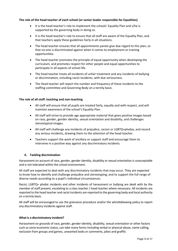#### **The role of the head teacher of each school (or senior leader responsible for Equalities)**

- It is the head teacher's role to implement the schools' Equality Plan and s/he is supported by the governing body in doing so.
- It is the head teacher's role to ensure that all staff are aware of the Equality Plan, and that teachers apply these guidelines fairly in all situations.
- The head teacher ensures that all appointments panels give due regard to this plan, so that no-one is discriminated against when it comes to employment or training opportunities.
- The head teacher promotes the principle of equal opportunity when developing the curriculum, and promotes respect for other people and equal opportunities to participate in all aspects of school life.
- The head teacher treats all incidents of unfair treatment and any incidents of bullying or discrimination, including racist incidents, with due seriousness.
- The Head teacher will report the number and frequency of these incidents to the staffing committee and Governing Body on a termly basis.

#### **The role of all staff: teaching and non-teaching**

- All staff will ensure that all pupils are treated fairly, equally and with respect, and will maintain awareness of the school's Equality Plan.
- All staff will strive to provide age appropriate material that gives positive images based on race, gender, gender identity, sexual orientation and disability, and challenges stereotypical images.
- All staff will challenge any incidents of prejudice, racism or LGBTQ+phobia, and record any serious incidents, drawing them to the attention of the head teacher.
- Teachers support the work of ancillary or support staff and encourage them to intervene in a positive way against any discriminatory incidents.

#### **6. Tackling discrimination**

Harassment on account of race, gender, gender identity, disability or sexual orientation is unacceptable and is not tolerated within the school environment.

All staff are expected to deal with any discriminatory incidents that may occur. They are expected to know how to identify and challenge prejudice and stereotyping; and to support the full range of diverse needs according to a pupil's individual circumstances.

Racist, LGBTQ+ phobic incidents and other incidents of harassment or bullying are dealt with by the member of staff present, escalating to a class teacher / head teacher where necessary. All incidents are reported to the head teacher and racist incidents are reported to the governing body and local authority on a termly basis.

All staff will be encouraged to use the grievance procedure and/or the whistleblowing policy to report any discriminatory incidents against staff.

#### **What is a discriminatory incident?**

Harassment on grounds of race, gender, gender identity, disability, sexual orientation or other factors such as socio-economic status, can take many forms including verbal or physical abuse, name calling, exclusion from groups and games, unwanted looks or comments, jokes and graffiti.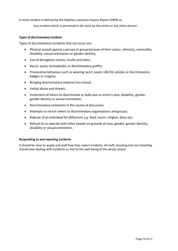A racist incident is defined by the Stephen Lawrence Inquiry Report (1999) as:

'any incident which is perceived to be racist by the victim or any other person'.

#### **Types of discriminatory incident:**

Types of discriminatory incidents that can occur are:

- Physical assault against a person or group because of their colour, ethnicity, nationality, disability, sexual orientation or gender identity;
- Use of derogatory names, insults and jokes;
- Racist, sexist, homophobic or discriminatory graffiti;
- Provocative behaviour such as wearing racist, sexist, LBGTQ+ phobic or discriminatory badges or insignia;
- Bringing discriminatory material into school;
- Verbal abuse and threats;
- Incitement of others to discriminate or bully due to victim's race, disability, gender, gender identity or sexual orientation;
- Discriminatory comments in the course of discussion;
- Attempts to recruit others to discriminatory organisations and groups;
- Ridicule of an individual for difference e.g. food, music, religion, dress etc;
- Refusal to co-operate with other people on grounds of race, gender, gender identity, disability or sexual orientation.

#### **Responding to and reporting incidents**

It should be clear to pupils and staff how they report incidents. All staff, teaching and non-teaching, should view dealing with incidents as vital to the well-being of the whole school.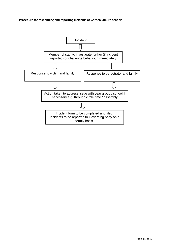**Procedure for responding and reporting incidents at Garden Suburb Schools:**

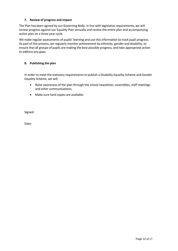#### **7. Review of progress and impact**

The Plan has been agreed by our Governing Body. In line with legislative requirements, we will review progress against our Equality Plan annually and review the entire plan and accompanying action plan on a three year cycle.

We make regular assessments of pupils' learning and use this information to track pupil progress. As part of this process, we regularly monitor achievement by ethnicity, gender and disability, to ensure that all groups of pupils are making the best possible progress, and take appropriate action to address any gaps.

#### **8. Publishing the plan**

In order to meet the statutory requirements to publish a Disability Equality Scheme and Gender Equality Scheme, we will:

- Raise awareness of the plan through the school newsletter, assemblies, staff meetings and other communications;
- Make sure hard copies are available.

Signed:

Date: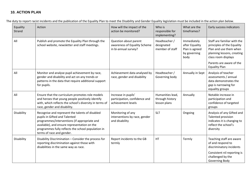## **10. ACTION PLAN**

The duty to report racist incidents and the publication of the Equality Plan to meet the Disability and Gender Equality legislation must be included in the action plan below.

| Equality<br>Strand | Action                                                                                                                                                                                                                                                              | How will the impact of the<br>action be monitored?                            | Who is<br>responsible for<br>implementing?          | What are the<br>timeframes?                                             | Early success indicators                                                                                                                                                                     |
|--------------------|---------------------------------------------------------------------------------------------------------------------------------------------------------------------------------------------------------------------------------------------------------------------|-------------------------------------------------------------------------------|-----------------------------------------------------|-------------------------------------------------------------------------|----------------------------------------------------------------------------------------------------------------------------------------------------------------------------------------------|
| All                | Publish and promote the Equality Plan through the<br>school website, newsletter and staff meetings.                                                                                                                                                                 | Question about parent<br>awareness of Equality Scheme<br>in bi-annual survey? | Headteacher /<br>designated<br>member of staff      | Immediately<br>after Equality<br>Plan is agreed<br>by governing<br>body | Staff are familiar with the<br>principles of the Equality<br>Plan and use them when<br>planning lessons, creating<br>class room displays<br>Parents are aware of the<br><b>Equality Plan</b> |
| All                | Monitor and analyse pupil achievement by race,<br>gender and disability and act on any trends or<br>patterns in the data that require additional support<br>for pupils.                                                                                             | Achievement data analysed by<br>race, gender and disability                   | Headteacher /<br>Governing body                     | Annually in Sept                                                        | Analysis of teacher<br>assessments / annual<br>data demonstrates the<br>gap is narrowing for<br>equality groups                                                                              |
| All                | Ensure that the curriculum promotes role models<br>and heroes that young people positively identify<br>with, which reflects the school's diversity in terms of<br>race, gender and disability.                                                                      | Increase in pupils'<br>participation, confidence and<br>achievement levels    | Humanities lead,<br>through history<br>lesson plans | Annually                                                                | Notable increase in<br>participation and<br>confidence of targeted<br>groups                                                                                                                 |
| Disability         | Recognise and represent the talents of disabled<br>pupils in Gifted and Talented<br>programmes/interventions (if appropriate and<br>available), and ensure representation on the<br>programmes fully reflects the school population in<br>terms of race and gender. | Monitoring of any<br>interventions by race, gender<br>and disability          | <b>SLT</b>                                          | Ongoing                                                                 | Analysis of any Gifted and<br>Talented provision<br>indicates it is changing to<br>reflect the school's<br>diversity                                                                         |
| Disability         | Disability Discrimination - Consider the process for<br>reporting discrimination against those with<br>disabilities in the same way as race.                                                                                                                        | Report incidents to the GB<br>termly                                          | HT                                                  | Termly                                                                  | Teaching staff are aware<br>of and respond to<br>discriminatory incidents<br>Consistent nil reporting is<br>challenged by the<br>Governing Body                                              |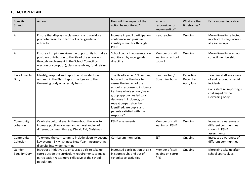## **10. ACTION PLAN**

| Equality<br>Strand             | Action                                                                                                                                                                                                                          | How will the impact of the<br>action be monitored?                                                                                                                                                                                                                                                                    | Who is<br>responsible for<br>implementing?      | What are the<br>timeframes?            | Early success indicators                                                                                                                |
|--------------------------------|---------------------------------------------------------------------------------------------------------------------------------------------------------------------------------------------------------------------------------|-----------------------------------------------------------------------------------------------------------------------------------------------------------------------------------------------------------------------------------------------------------------------------------------------------------------------|-------------------------------------------------|----------------------------------------|-----------------------------------------------------------------------------------------------------------------------------------------|
| All                            | Ensure that displays in classrooms and corridors<br>promote diversity in terms of race, gender and<br>ethnicity.                                                                                                                | Increase in pupil participation,<br>confidence and positive<br>identity - monitor through<br><b>PSHE</b>                                                                                                                                                                                                              | Headteacher                                     | Ongoing                                | More diversity reflected<br>in school displays across<br>all year groups                                                                |
| All                            | Ensure all pupils are given the opportunity to make a<br>positive contribution to the life of the school e.g.<br>through involvement in the School Council by<br>election or co-option), class assemblies, fund raising<br>etc. | School council representation<br>monitored by race, gender,<br>disability                                                                                                                                                                                                                                             | Member of staff<br>leading on school<br>council | Ongoing                                | More diversity in school<br>council membership                                                                                          |
| Race Equality<br>Duty          | Identify, respond and report racist incidents as<br>outlined in the Plan. Report the figures to the<br>Governing body on a termly basis.                                                                                        | The Headteacher / Governing<br>body will use the data to<br>assess the impact of the<br>school's response to incidents<br>i.e. have whole school / year<br>group approaches led to a<br>decrease in incidents, can<br>repeat perpetrators be<br>identified, are pupils and<br>parents satisfied with the<br>response? | Headteacher /<br>Governing body                 | Reporting:<br>December,<br>April, July | Teaching staff are aware<br>of and respond to racist<br>incidents<br>Consistent nil reporting is<br>challenged by the<br>Governing Body |
| Community<br>cohesion          | Celebrate cultural events throughout the year to<br>increase pupil awareness and understanding of<br>different communities e.g. Diwali, Eid, Christmas.                                                                         | PSHE assessments                                                                                                                                                                                                                                                                                                      | Member of staff<br>leading on PSHE              | Ongoing                                | Increased awareness of<br>different communities<br>shown in PSHE<br>assessments                                                         |
| Community<br>Cohesion          | To extend the curriculum to include diversity beyond<br>key events - BHM, Chinese New Year - incorporating<br>diversity into wider learning.                                                                                    | Curriculum monitoring                                                                                                                                                                                                                                                                                                 | <b>SLT</b>                                      | Ongoing                                | Increased awareness of<br>different communities                                                                                         |
| Gender<br><b>Equality Duty</b> | Introduce initiatives to encourage girls to take up<br>sport outside the curriculum requirements to make<br>participation rates more reflective of the school<br>population.                                                    | Increased participation of girls<br>in sports clubs and out of<br>school sport activities                                                                                                                                                                                                                             | Member of staff<br>leading on sports<br>/ PE    | Ongoing                                | More girls take up after-<br>school sports clubs                                                                                        |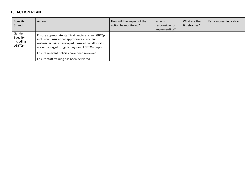### **10. ACTION PLAN**

| Equality<br>Strand                        | Action                                                                                                                                                                                                                                                         | How will the impact of the<br>action be monitored? | Who is<br>responsible for<br>implementing? | What are the<br>timeframes? | Early success indicators |
|-------------------------------------------|----------------------------------------------------------------------------------------------------------------------------------------------------------------------------------------------------------------------------------------------------------------|----------------------------------------------------|--------------------------------------------|-----------------------------|--------------------------|
| Gender<br>Equality<br>including<br>LGBTQ+ | Ensure appropriate staff training to ensure LGBTQ+<br>inclusion. Ensure that appropriate curriculum<br>material is being developed. Ensure that all sports<br>are encouraged for girls, boys and LGBTQ+ pupils.<br>Ensure relevant policies have been reviewed |                                                    |                                            |                             |                          |
|                                           | Ensure staff training has been delivered                                                                                                                                                                                                                       |                                                    |                                            |                             |                          |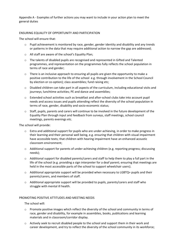Appendix A - Examples of further actions you may want to include in your action plan to meet the general duties

#### ENSURING EQUALITY OF OPPORTUNITY AND PARTICIPATION

The school will ensure that:

- $\circ$  Pupil achievement is monitored by race, gender, gender identity and disability and any trends or patterns in the data that may require additional action to narrow the gap are addressed;
- o All staff are aware of the school's Equality Plan;
- o The talents of disabled pupils are recognised and represented in Gifted and Talented programmes, and representation on the programmes fully reflects the school population in terms of race and gender;
- o There is an inclusive approach to ensuring all pupils are given the opportunity to make a positive contribution to the life of the school e.g. through involvement in the School Council by election or co-option); class assemblies; fund raising etc;
- $\circ$  Disabled children can take part in all aspects of the curriculum, including educational visits and journeys; lunchtime activities; PE and dance and assemblies;
- o Extended school activities such as breakfast and after-school clubs take into account pupil needs and access issues and pupils attending reflect the diversity of the school population in terms of race, gender, disability and socio-economic status;
- o Staff, pupils, parents and carers will continue to be involved in the future development of the Equality Plan through input and feedback from surveys, staff meetings, school council meetings, parents evenings etc.

The school will provide:

- o Extra and additional support for pupils who are under-achieving, in order to make progress in their learning and their personal well being, e.g. ensuring that children with visual impairment have accessible texts; that children with hearing impairment have an enhanced acoustic classroom environment;
- $\circ$  Additional support for parents of under-achieving children (e.g. reporting progress; discussing needs);
- $\circ$  Additional support for disabled parents/carers and staff to help them to play a full part in the life of the school (e.g. providing a sign interpreter for a deaf parent; ensuring that meetings are held in the most accessible parts of the school to support wheelchair users).
- o Additional appropriate support will be provided when necessary to LGBTQ+ pupils and their parents/carers, and members of staff.
- o Additional appropriate support will be provided to pupils, parents/carers and staff who struggle with mental ill health.

#### PROMOTING POSITIVE ATTITUDES AND MEETING NEEDS

The school will:

- o Promote positive images which reflect the diversity of the school and community in terms of race, gender and disability, for example in assemblies, books, publications and learning materials and in classroom/corridor display.
- o Actively seek to recruit disabled people to the school and support them in their work and career development, and try to reflect the diversity of the school community in its workforce;